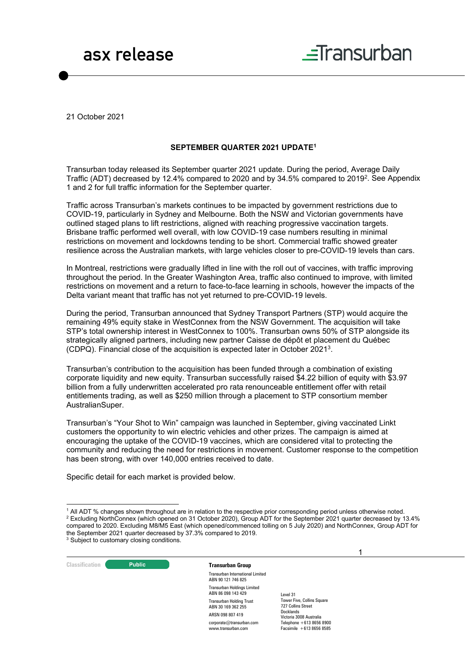



21 October 2021

#### **SEPTEMBER QUARTER 2021 UPDATE1**

Transurban today released its September quarter 2021 update. During the period, Average Daily Traffic (ADT) decreased by 12.4% compared to 2020 and by 34.5% compared to 20192. See Appendix 1 and 2 for full traffic information for the September quarter.

Traffic across Transurban's markets continues to be impacted by government restrictions due to COVID-19, particularly in Sydney and Melbourne. Both the NSW and Victorian governments have outlined staged plans to lift restrictions, aligned with reaching progressive vaccination targets. Brisbane traffic performed well overall, with low COVID-19 case numbers resulting in minimal restrictions on movement and lockdowns tending to be short. Commercial traffic showed greater resilience across the Australian markets, with large vehicles closer to pre-COVID-19 levels than cars.

In Montreal, restrictions were gradually lifted in line with the roll out of vaccines, with traffic improving throughout the period. In the Greater Washington Area, traffic also continued to improve, with limited restrictions on movement and a return to face-to-face learning in schools, however the impacts of the Delta variant meant that traffic has not yet returned to pre-COVID-19 levels.

During the period, Transurban announced that Sydney Transport Partners (STP) would acquire the remaining 49% equity stake in WestConnex from the NSW Government. The acquisition will take STP's total ownership interest in WestConnex to 100%. Transurban owns 50% of STP alongside its strategically aligned partners, including new partner Caisse de dépôt et placement du Québec (CDPQ). Financial close of the acquisition is expected later in October 20213.

Transurban's contribution to the acquisition has been funded through a combination of existing corporate liquidity and new equity. Transurban successfully raised \$4.22 billion of equity with \$3.97 billion from a fully underwritten accelerated pro rata renounceable entitlement offer with retail entitlements trading, as well as \$250 million through a placement to STP consortium member AustralianSuper.

Transurban's "Your Shot to Win" campaign was launched in September, giving vaccinated Linkt customers the opportunity to win electric vehicles and other prizes. The campaign is aimed at encouraging the uptake of the COVID-19 vaccines, which are considered vital to protecting the community and reducing the need for restrictions in movement. Customer response to the competition has been strong, with over 140,000 entries received to date.

Specific detail for each market is provided below.



Transurban International Limited ABN 90 121 746 825 Transurban Holdings Limited ABN 86 098 143 429 Transurban Holding Trust ABN 30 169 362 255 ARSN 098 807 419 corporate@transurban.com www.transurban.com

Level 31

**Tower Five, Collins Square** 727 Collins Street Docklands Victoria 3008 Australia Telephone +613 8656 8900 Facsimile +613 8656 8585 1

<sup>1</sup> All ADT % changes shown throughout are in relation to the respective prior corresponding period unless otherwise noted. <sup>2</sup> Excluding NorthConnex (which opened on 31 October 2020), Group ADT for the September 2021 quarter decreased by 13.4% compared to 2020. Excluding M8/M5 East (which opened/commenced tolling on 5 July 2020) and NorthConnex, Group ADT for the September 2021 quarter decreased by 37.3% compared to 2019. <sup>3</sup> Subject to customary closing conditions.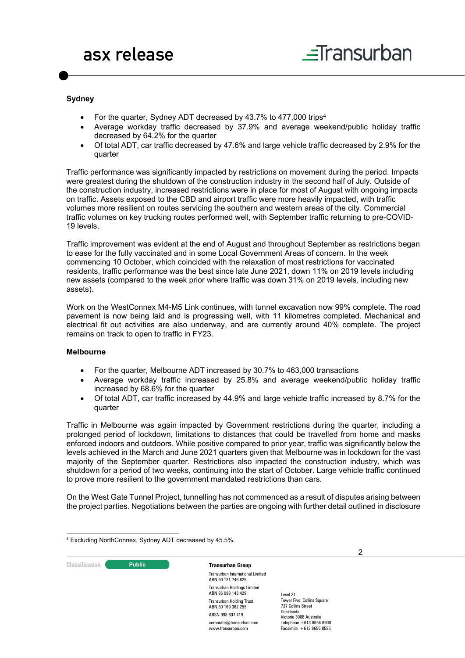#### **Sydney**

- For the quarter, Sydney ADT decreased by 43.7% to 477,000 trips4
- Average workday traffic decreased by 37.9% and average weekend/public holiday traffic decreased by 64.2% for the quarter
- Of total ADT, car traffic decreased by 47.6% and large vehicle traffic decreased by 2.9% for the quarter

Traffic performance was significantly impacted by restrictions on movement during the period. Impacts were greatest during the shutdown of the construction industry in the second half of July. Outside of the construction industry, increased restrictions were in place for most of August with ongoing impacts on traffic. Assets exposed to the CBD and airport traffic were more heavily impacted, with traffic volumes more resilient on routes servicing the southern and western areas of the city. Commercial traffic volumes on key trucking routes performed well, with September traffic returning to pre-COVID-19 levels.

Traffic improvement was evident at the end of August and throughout September as restrictions began to ease for the fully vaccinated and in some Local Government Areas of concern. In the week commencing 10 October, which coincided with the relaxation of most restrictions for vaccinated residents, traffic performance was the best since late June 2021, down 11% on 2019 levels including new assets (compared to the week prior where traffic was down 31% on 2019 levels, including new assets).

Work on the WestConnex M4-M5 Link continues, with tunnel excavation now 99% complete. The road pavement is now being laid and is progressing well, with 11 kilometres completed. Mechanical and electrical fit out activities are also underway, and are currently around 40% complete. The project remains on track to open to traffic in FY23.

#### **Melbourne**

- For the quarter, Melbourne ADT increased by 30.7% to 463,000 transactions
- Average workday traffic increased by 25.8% and average weekend/public holiday traffic increased by 68.6% for the quarter
- Of total ADT, car traffic increased by 44.9% and large vehicle traffic increased by 8.7% for the quarter

Traffic in Melbourne was again impacted by Government restrictions during the quarter, including a prolonged period of lockdown, limitations to distances that could be travelled from home and masks enforced indoors and outdoors. While positive compared to prior year, traffic was significantly below the levels achieved in the March and June 2021 quarters given that Melbourne was in lockdown for the vast majority of the September quarter. Restrictions also impacted the construction industry, which was shutdown for a period of two weeks, continuing into the start of October. Large vehicle traffic continued to prove more resilient to the government mandated restrictions than cars.

On the West Gate Tunnel Project, tunnelling has not commenced as a result of disputes arising between the project parties. Negotiations between the parties are ongoing with further detail outlined in disclosure

| <sup>4</sup> Excluding NorthConnex, Sydney ADT decreased by 45.5%. |  |  |  |
|--------------------------------------------------------------------|--|--|--|
|--------------------------------------------------------------------|--|--|--|

2 **Classification C Public Transurban Group** Transurban International Limited ABN 90 121 746 825 Transurban Holdings Limited ABN 86 098 143 429 Transurban Holding Trust ABN 30 169 362 255 ARSN 098 807 419 corporate@transurban.com www.transurban.com Level 31 **Tower Five, Collins Square** 727 Collins Street Docklands Victoria 3008 Australia Telephone +613 8656 8900 Facsimile +613 8656 8585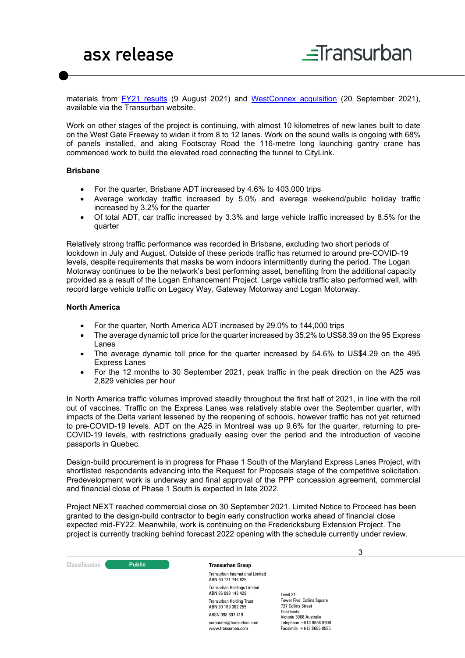materials from [FY21 results](https://www.transurban.com/content/dam/investor-centre/01/FY21-ResultsPresentation.pdf) (9 August 2021) and [WestConnex acquisition](https://www.transurban.com/content/dam/investor-centre/06/WestConnex-Acquisition-Equity-Raise.pdf) (20 September 2021), available via the Transurban website.

Work on other stages of the project is continuing, with almost 10 kilometres of new lanes built to date on the West Gate Freeway to widen it from 8 to 12 lanes. Work on the sound walls is ongoing with 68% of panels installed, and along Footscray Road the 116-metre long launching gantry crane has commenced work to build the elevated road connecting the tunnel to CityLink.

#### **Brisbane**

- For the quarter, Brisbane ADT increased by 4.6% to 403,000 trips
- Average workday traffic increased by 5.0% and average weekend/public holiday traffic increased by 3.2% for the quarter
- Of total ADT, car traffic increased by 3.3% and large vehicle traffic increased by 8.5% for the quarter

Relatively strong traffic performance was recorded in Brisbane, excluding two short periods of lockdown in July and August. Outside of these periods traffic has returned to around pre-COVID-19 levels, despite requirements that masks be worn indoors intermittently during the period. The Logan Motorway continues to be the network's best performing asset, benefiting from the additional capacity provided as a result of the Logan Enhancement Project. Large vehicle traffic also performed well, with record large vehicle traffic on Legacy Way, Gateway Motorway and Logan Motorway.

#### **North America**

- For the quarter, North America ADT increased by 29.0% to 144,000 trips
- The average dynamic toll price for the quarter increased by 35.2% to US\$8.39 on the 95 Express Lanes
- The average dynamic toll price for the quarter increased by 54.6% to US\$4.29 on the 495 Express Lanes
- For the 12 months to 30 September 2021, peak traffic in the peak direction on the A25 was 2,829 vehicles per hour

In North America traffic volumes improved steadily throughout the first half of 2021, in line with the roll out of vaccines. Traffic on the Express Lanes was relatively stable over the September quarter, with impacts of the Delta variant lessened by the reopening of schools, however traffic has not yet returned to pre-COVID-19 levels. ADT on the A25 in Montreal was up 9.6% for the quarter, returning to pre-COVID-19 levels, with restrictions gradually easing over the period and the introduction of vaccine passports in Quebec.

Design-build procurement is in progress for Phase 1 South of the Maryland Express Lanes Project, with shortlisted respondents advancing into the Request for Proposals stage of the competitive solicitation. Predevelopment work is underway and final approval of the PPP concession agreement, commercial and financial close of Phase 1 South is expected in late 2022.

Project NEXT reached commercial close on 30 September 2021. Limited Notice to Proceed has been granted to the design-build contractor to begin early construction works ahead of financial close expected mid-FY22. Meanwhile, work is continuing on the Fredericksburg Extension Project. The project is currently tracking behind forecast 2022 opening with the schedule currently under review.

|                       |               |                                                               |                                                         | 3 |
|-----------------------|---------------|---------------------------------------------------------------|---------------------------------------------------------|---|
| <b>Classification</b> | <b>Public</b> | <b>Transurban Group</b>                                       |                                                         |   |
|                       |               | <b>Transurban International Limited</b><br>ABN 90 121 746 825 |                                                         |   |
|                       |               | <b>Transurban Holdings Limited</b><br>ABN 86 098 143 429      | Level 31                                                |   |
|                       |               | <b>Transurban Holding Trust</b><br>ABN 30 169 362 255         | <b>Tower Five, Collins Square</b><br>727 Collins Street |   |
|                       |               | ARSN 098 807 419                                              | <b>Docklands</b><br>Victoria 3008 Australia             |   |
|                       |               | corporate@transurban.com<br>www.transurban.com                | Telephone +613 8656 8900<br>Facsimile $+61386568585$    |   |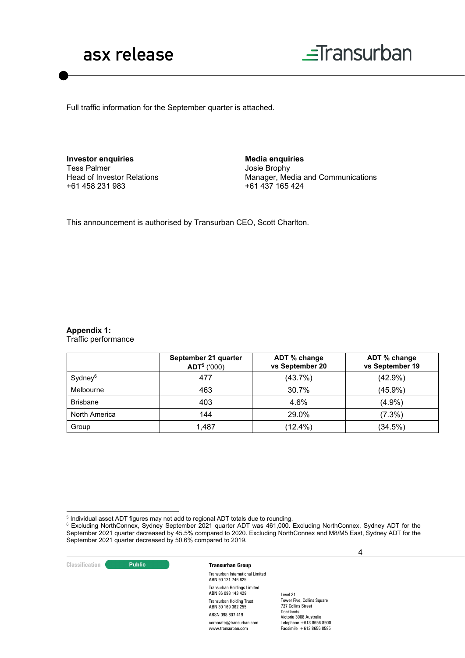



Full traffic information for the September quarter is attached.

**Investor enquiries** Tess Palmer Head of Investor Relations +61 458 231 983

**Media enquiries** Josie Brophy Manager, Media and Communications +61 437 165 424

This announcement is authorised by Transurban CEO, Scott Charlton.

### **Appendix 1:**

Traffic performance

|                     | September 21 quarter<br>$ADT5$ ('000) | ADT % change<br>vs September 20 | ADT % change<br>vs September 19 |
|---------------------|---------------------------------------|---------------------------------|---------------------------------|
| Sydney <sup>6</sup> | 477                                   | (43.7%)                         | $(42.9\%)$                      |
| Melbourne           | 463                                   | 30.7%                           | $(45.9\%)$                      |
| <b>Brisbane</b>     | 403                                   | 4.6%                            | (4.9%                           |
| North America       | 144                                   | 29.0%                           | $(7.3\%)$                       |
| Group               | 1,487                                 | $(12.4\%)$                      | (34.5%)                         |

 $^6$  Excluding NorthConnex, Sydney September 2021 quarter ADT was 461,000. Excluding NorthConnex, Sydney ADT for the September 2021 quarter decreased by 45.5% compared to 2020. Excluding NorthConnex and M8/M5 East, Sydney ADT for the September 2021 quarter decreased by 50.6% compared to 2019.



 $^{\rm 5}$  Individual asset ADT figures may not add to regional ADT totals due to rounding.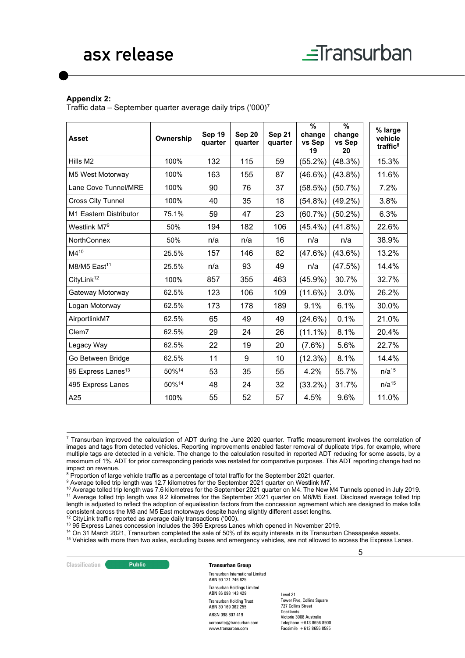#### **Appendix 2:**

Traffic data – September quarter average daily trips  $(000)^7$ 

| <b>Asset</b>                   | Ownership | Sep 19<br>quarter | Sep 20<br>quarter | Sep 21<br>quarter | $\frac{9}{6}$<br>change<br>vs Sep<br>19 | $\%$<br>change<br>vs Sep<br>20 | % large<br>vehicle<br>traffic <sup>8</sup> |
|--------------------------------|-----------|-------------------|-------------------|-------------------|-----------------------------------------|--------------------------------|--------------------------------------------|
| Hills M2                       | 100%      | 132               | 115               | 59                | $(55.2\%)$                              | (48.3%)                        | 15.3%                                      |
| M5 West Motorway               | 100%      | 163               | 155               | 87                | $(46.6\%)$                              | $(43.8\%)$                     | 11.6%                                      |
| Lane Cove Tunnel/MRE           | 100%      | 90                | 76                | 37                | (58.5%)                                 | $(50.7\%)$                     | 7.2%                                       |
| <b>Cross City Tunnel</b>       | 100%      | 40                | 35                | 18                | $(54.8\%)$                              | $(49.2\%)$                     | 3.8%                                       |
| M1 Eastern Distributor         | 75.1%     | 59                | 47                | 23                | (60.7%)                                 | $(50.2\%)$                     | 6.3%                                       |
| Westlink M7 <sup>9</sup>       | 50%       | 194               | 182               | 106               | $(45.4\%)$                              | $(41.8\%)$                     | 22.6%                                      |
| <b>NorthConnex</b>             | 50%       | n/a               | n/a               | 16                | n/a                                     | n/a                            | 38.9%                                      |
| $M4^{10}$                      | 25.5%     | 157               | 146               | 82                | (47.6%)                                 | $(43.6\%)$                     | 13.2%                                      |
| $M8/M5$ East <sup>11</sup>     | 25.5%     | n/a               | 93                | 49                | n/a                                     | (47.5%)                        | 14.4%                                      |
| CityLink <sup>12</sup>         | 100%      | 857               | 355               | 463               | $(45.9\%)$                              | 30.7%                          | 32.7%                                      |
| Gateway Motorway               | 62.5%     | 123               | 106               | 109               | (11.6%)                                 | 3.0%                           | 26.2%                                      |
| Logan Motorway                 | 62.5%     | 173               | 178               | 189               | 9.1%                                    | 6.1%                           | 30.0%                                      |
| AirportlinkM7                  | 62.5%     | 65                | 49                | 49                | (24.6%)                                 | 0.1%                           | 21.0%                                      |
| Clem7                          | 62.5%     | 29                | 24                | 26                | $(11.1\%)$                              | 8.1%                           | 20.4%                                      |
| Legacy Way                     | 62.5%     | 22                | 19                | 20                | $(7.6\%)$                               | 5.6%                           | 22.7%                                      |
| Go Between Bridge              | 62.5%     | 11                | 9                 | 10                | (12.3%)                                 | 8.1%                           | 14.4%                                      |
| 95 Express Lanes <sup>13</sup> | 50%14     | 53                | 35                | 55                | 4.2%                                    | 55.7%                          | $n/a^{15}$                                 |
| 495 Express Lanes              | 50%14     | 48                | 24                | 32                | $(33.2\%)$                              | 31.7%                          | $n/a^{15}$                                 |
| A25                            | 100%      | 55                | 52                | 57                | 4.5%                                    | 9.6%                           | 11.0%                                      |

<sup>7</sup> Transurban improved the calculation of ADT during the June 2020 quarter. Traffic measurement involves the correlation of images and tags from detected vehicles. Reporting improvements enabled faster removal of duplicate trips, for example, where multiple tags are detected in a vehicle. The change to the calculation resulted in reported ADT reducing for some assets, by a maximum of 1%. ADT for prior corresponding periods was restated for comparative purposes. This ADT reporting change had no impact on revenue.

ARSN 098 807 419 corporate@transurban.com www.transurban.com

<sup>&</sup>lt;sup>15</sup> Vehicles with more than two axles, excluding buses and emergency vehicles, are not allowed to access the Express Lanes.

|                       |                                                       |                                                               |           | 5 |  |
|-----------------------|-------------------------------------------------------|---------------------------------------------------------------|-----------|---|--|
| <b>Classification</b> | <b>Public</b>                                         | <b>Transurban Group</b>                                       |           |   |  |
|                       |                                                       | <b>Transurban International Limited</b><br>ABN 90 121 746 825 |           |   |  |
|                       |                                                       | <b>Transurban Holdings Limited</b><br>ABN 86 098 143 429      | Level 31  |   |  |
|                       | <b>Transurban Holding Trust</b><br>ABN 30 169 362 255 | <b>Tower Five, Collins Square</b><br>727 Collins Street       |           |   |  |
|                       |                                                       |                                                               | Docklands |   |  |

Victoria 3008 Australia Telephone +613 8656 8900 Facsimile +613 8656 8585

<sup>&</sup>lt;sup>8</sup> Proportion of large vehicle traffic as a percentage of total traffic for the September 2021 quarter.

<sup>&</sup>lt;sup>9</sup> Average tolled trip length was 12.7 kilometres for the September 2021 quarter on Westlink M7.

<sup>&</sup>lt;sup>10</sup> Average tolled trip length was 7.6 kilometres for the September 2021 quarter on M4. The New M4 Tunnels opened in July 2019. <sup>11</sup> Average tolled trip length was 9.2 kilometres for the September 2021 quarter on M8/M5 East. Disclosed average tolled trip length is adjusted to reflect the adoption of equalisation factors from the concession agreement which are designed to make tolls consistent across the M8 and M5 East motorways despite having slightly different asset lengths.

<sup>&</sup>lt;sup>12</sup> CityLink traffic reported as average daily transactions ('000).

<sup>13 95</sup> Express Lanes concession includes the 395 Express Lanes which opened in November 2019.<br><sup>14</sup> On 31 March 2021, Transurban completed the sale of 50% of its equity interests in its Transurban Chesapeake assets.